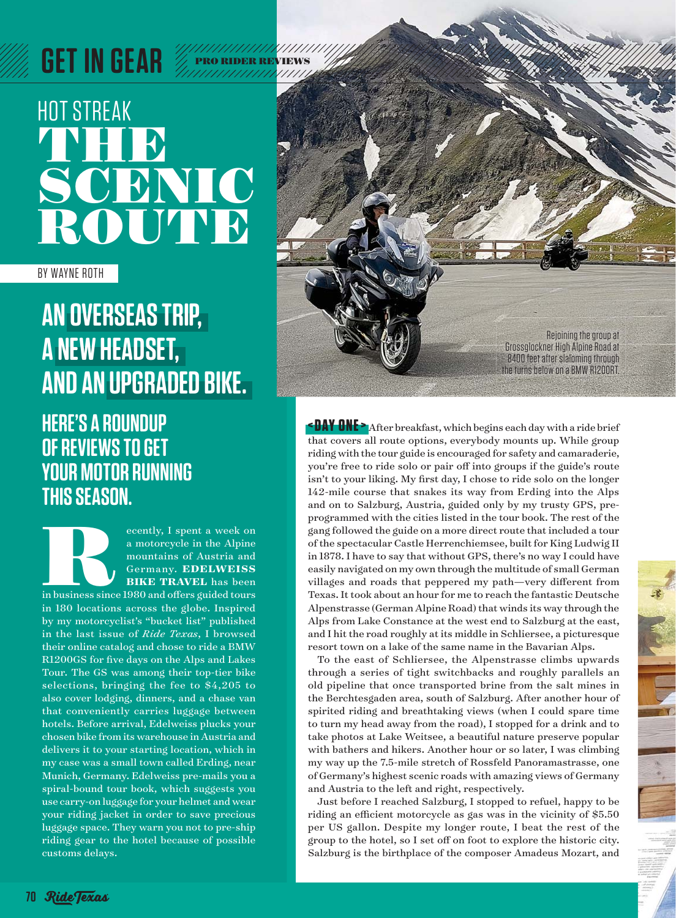# HOT STREAK **THEFT** SCENIC ROUTE

BY WAYNE ROTH

### **AN OVERSEAS TRIP, A NEW HEADSET, AND AN UPGRADED BIKE.**

### **HERE'S A ROUNDUP OF REVIEWS TO GET YOUR MOTOR RUNNING THIS SEASON.**

ecently, I spent a week on<br>
a motorcycle in the Alpine<br>
mountains of Austria and<br>
Germany. EDELWEISS<br>
BIKE TRAVEL has been<br>
in business since 1980 and offers guided tours a motorcycle in the Alpine mountains of Austria and Germany. **EDELWEISS BIKE TRAVEL** has been

in 180 locations across the globe. Inspired by my motorcyclist's "bucket list" published in the last issue of *Ride Texas*, I browsed their online catalog and chose to ride a BMW R1200GS for five days on the Alps and Lakes Tour. The GS was among their top-tier bike selections, bringing the fee to \$4,205 to also cover lodging, dinners, and a chase van that conveniently carries luggage between hotels. Before arrival, Edelweiss plucks your chosen bike from its warehouse in Austria and delivers it to your starting location, which in my case was a small town called Erding, near Munich, Germany. Edelweiss pre-mails you a spiral-bound tour book, which suggests you use carry-on luggage for your helmet and wear your riding jacket in order to save precious luggage space. They warn you not to pre-ship riding gear to the hotel because of possible customs delays.



**<DAY ONE >** After breakfast, which begins each day with a ride brief that covers all route options, everybody mounts up. While group riding with the tour guide is encouraged for safety and camaraderie, you're free to ride solo or pair off into groups if the guide's route isn't to your liking. My first day, I chose to ride solo on the longer 142-mile course that snakes its way from Erding into the Alps and on to Salzburg, Austria, guided only by my trusty GPS, preprogrammed with the cities listed in the tour book. The rest of the gang followed the guide on a more direct route that included a tour of the spectacular Castle Herrenchiemsee, built for King Ludwig II in 1878. I have to say that without GPS, there's no way I could have easily navigated on my own through the multitude of small German villages and roads that peppered my path—very different from Texas. It took about an hour for me to reach the fantastic Deutsche Alpenstrasse (German Alpine Road) that winds its way through the Alps from Lake Constance at the west end to Salzburg at the east, and I hit the road roughly at its middle in Schliersee, a picturesque resort town on a lake of the same name in the Bavarian Alps.

To the east of Schliersee, the Alpenstrasse climbs upwards through a series of tight switchbacks and roughly parallels an old pipeline that once transported brine from the salt mines in the Berchtesgaden area, south of Salzburg. After another hour of spirited riding and breathtaking views (when I could spare time to turn my head away from the road), I stopped for a drink and to take photos at Lake Weitsee, a beautiful nature preserve popular with bathers and hikers. Another hour or so later, I was climbing my way up the 7.5-mile stretch of Rossfeld Panoramastrasse, one of Germany's highest scenic roads with amazing views of Germany and Austria to the left and right, respectively.

Just before I reached Salzburg, I stopped to refuel, happy to be riding an efficient motorcycle as gas was in the vicinity of  $$5.50$ per US gallon. Despite my longer route, I beat the rest of the group to the hotel, so I set off on foot to explore the historic city. Salzburg is the birthplace of the composer Amadeus Mozart, and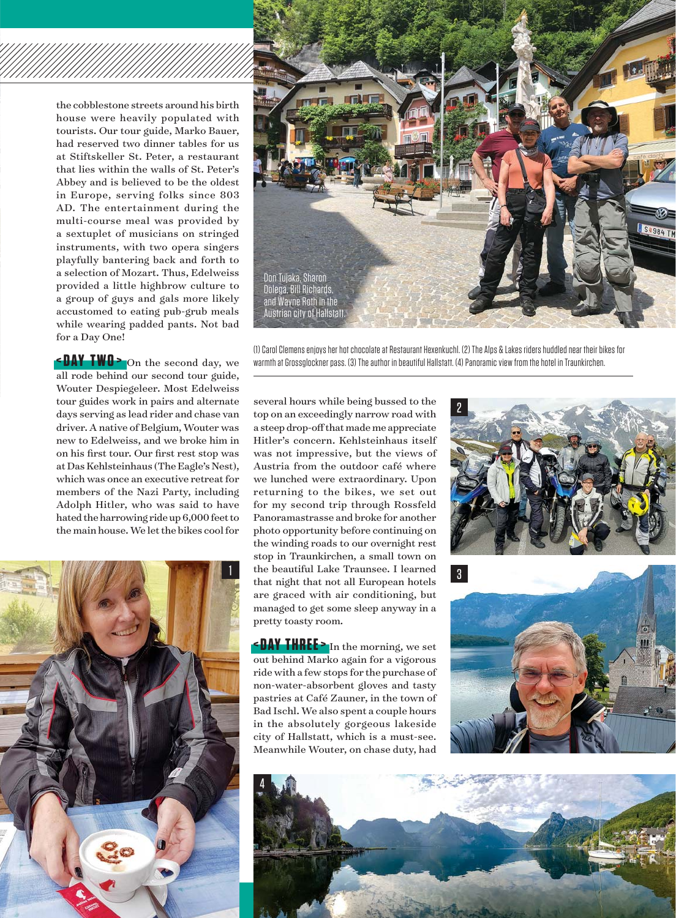the cobblestone streets around his birth house were heavily populated with tourists. Our tour guide, Marko Bauer, had reserved two dinner tables for us at Stiftskeller St. Peter, a restaurant that lies within the walls of St. Peter's Abbey and is believed to be the oldest in Europe, serving folks since 803 AD. The entertainment during the multi-course meal was provided by a sextuplet of musicians on stringed instruments, with two opera singers playfully bantering back and forth to a selection of Mozart. Thus, Edelweiss provided a little highbrow culture to a group of guys and gals more likely accustomed to eating pub-grub meals while wearing padded pants. Not bad for a Day One!

**EDAY TWO >** On the second day, we all rode behind our second tour guide, Wouter Despiegeleer. Most Edelweiss tour guides work in pairs and alternate days serving as lead rider and chase van driver. A native of Belgium, Wouter was new to Edelweiss, and we broke him in on his first tour. Our first rest stop was at Das Kehlsteinhaus (The Eagle's Nest), which was once an executive retreat for members of the Nazi Party, including Adolph Hitler, who was said to have hated the harrowing ride up 6,000 feet to the main house. We let the bikes cool for





(1) Carol Clemens enjoys her hot chocolate at Restaurant Hexenkuchl. (2) The Alps & Lakes riders huddled near their bikes for warmth at Grossglockner pass. (3) The author in beautiful Hallstatt. (4) Panoramic view from the hotel in Traunkirchen.

several hours while being bussed to the top on an exceedingly narrow road with a steep drop-off that made me appreciate Hitler's concern. Kehlsteinhaus itself was not impressive, but the views of Austria from the outdoor café where we lunched were extraordinary. Upon returning to the bikes, we set out for my second trip through Rossfeld Panoramastrasse and broke for another photo opportunity before continuing on the winding roads to our overnight rest stop in Traunkirchen, a small town on the beautiful Lake Traunsee. I learned that night that not all European hotels are graced with air conditioning, but managed to get some sleep anyway in a pretty toasty room.

**<DAY THREE >** In the morning, we set out behind Marko again for a vigorous ride with a few stops for the purchase of non-water-absorbent gloves and tasty pastries at Café Zauner, in the town of Bad Ischl. We also spent a couple hours in the absolutely gorgeous lakeside city of Hallstatt, which is a must-see. Meanwhile Wouter, on chase duty, had